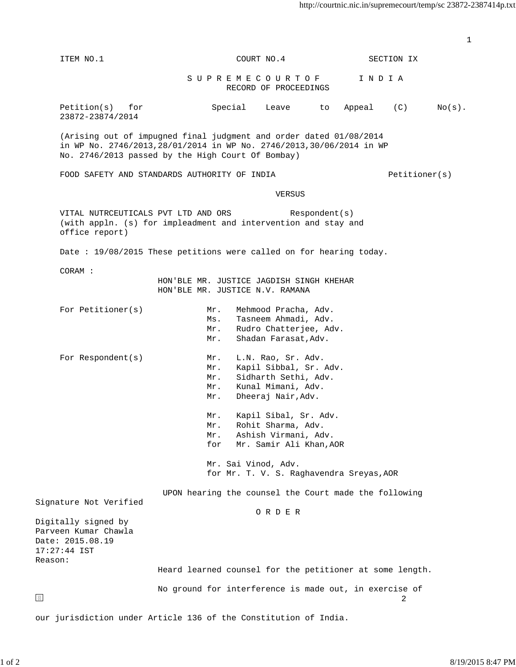|                                                                       |                                                                                                                                                                                                  |               | 1         |
|-----------------------------------------------------------------------|--------------------------------------------------------------------------------------------------------------------------------------------------------------------------------------------------|---------------|-----------|
| ITEM NO.1                                                             | COURT NO.4                                                                                                                                                                                       | SECTION IX    |           |
|                                                                       | S U P R E M E C O U R T O F<br>RECORD OF PROCEEDINGS                                                                                                                                             | INDIA         |           |
| Petition(s) for<br>23872-23874/2014                                   | Special<br>Leave to                                                                                                                                                                              | Appeal (C)    | $No(s)$ . |
|                                                                       | (Arising out of impugned final judgment and order dated 01/08/2014<br>in WP No. 2746/2013, 28/01/2014 in WP No. 2746/2013, 30/06/2014 in WP<br>No. 2746/2013 passed by the High Court Of Bombay) |               |           |
|                                                                       | FOOD SAFETY AND STANDARDS AUTHORITY OF INDIA                                                                                                                                                     | Petitioner(s) |           |
|                                                                       | VERSUS                                                                                                                                                                                           |               |           |
| VITAL NUTRCEUTICALS PVT LTD AND ORS<br>office report)                 | Respondent(s)<br>(with appln. (s) for impleadment and intervention and stay and                                                                                                                  |               |           |
|                                                                       | Date: 19/08/2015 These petitions were called on for hearing today.                                                                                                                               |               |           |
| CORAM :                                                               | HON'BLE MR. JUSTICE JAGDISH SINGH KHEHAR<br>HON'BLE MR. JUSTICE N.V. RAMANA                                                                                                                      |               |           |
| For Petitioner(s)                                                     | Mehmood Pracha, Adv.<br>Mr.<br>Tasneem Ahmadi, Adv.<br>Ms.<br>Rudro Chatterjee, Adv.<br>Mr.<br>Shadan Farasat, Adv.<br>Mr.                                                                       |               |           |
| For Respondent(s)                                                     | L.N. Rao, Sr. Adv.<br>Mr.<br>Kapil Sibbal, Sr. Adv.<br>Mr.<br>Sidharth Sethi, Adv.<br>Mr.<br>Kunal Mimani, Adv.<br>$Mr$ .<br>Dheeraj Nair, Adv.<br>Mr.                                           |               |           |
|                                                                       | Kapil Sibal, Sr. Adv.<br>$Mr$ .<br>Rohit Sharma, Adv.<br>Mr.<br>Ashish Virmani, Adv.<br>Mr.<br>Mr. Samir Ali Khan, AOR<br>for                                                                    |               |           |
|                                                                       | Mr. Sai Vinod, Adv.<br>for Mr. T. V. S. Raghavendra Sreyas, AOR                                                                                                                                  |               |           |
| Signature Not Verified                                                | UPON hearing the counsel the Court made the following                                                                                                                                            |               |           |
| Digitally signed by                                                   | ORDER                                                                                                                                                                                            |               |           |
| Parveen Kumar Chawla<br>Date: 2015.08.19<br>$17:27:44$ IST<br>Reason: |                                                                                                                                                                                                  |               |           |
|                                                                       | Heard learned counsel for the petitioner at some length.                                                                                                                                         |               |           |